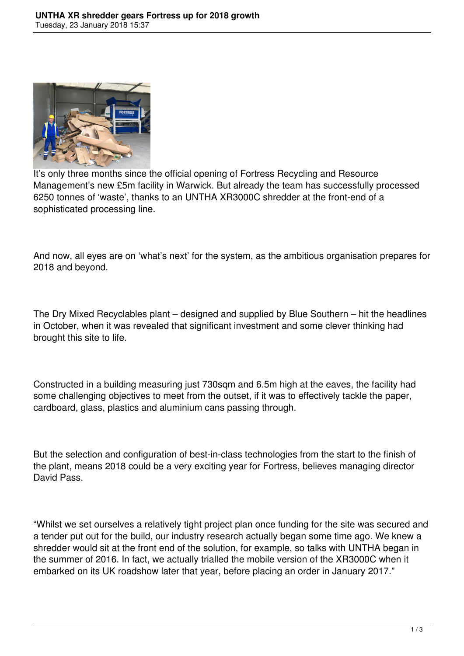

It's only three months since the official opening of Fortress Recycling and Resource Management's new £5m facility in Warwick. But already the team has successfully processed 6250 tonnes of 'waste', thanks to an UNTHA XR3000C shredder at the front-end of a sophisticated processing line.

And now, all eyes are on 'what's next' for the system, as the ambitious organisation prepares for 2018 and beyond.

The Dry Mixed Recyclables plant – designed and supplied by Blue Southern – hit the headlines in October, when it was revealed that significant investment and some clever thinking had brought this site to life.

Constructed in a building measuring just 730sqm and 6.5m high at the eaves, the facility had some challenging objectives to meet from the outset, if it was to effectively tackle the paper, cardboard, glass, plastics and aluminium cans passing through.

But the selection and configuration of best-in-class technologies from the start to the finish of the plant, means 2018 could be a very exciting year for Fortress, believes managing director David Pass.

"Whilst we set ourselves a relatively tight project plan once funding for the site was secured and a tender put out for the build, our industry research actually began some time ago. We knew a shredder would sit at the front end of the solution, for example, so talks with UNTHA began in the summer of 2016. In fact, we actually trialled the mobile version of the XR3000C when it embarked on its UK roadshow later that year, before placing an order in January 2017."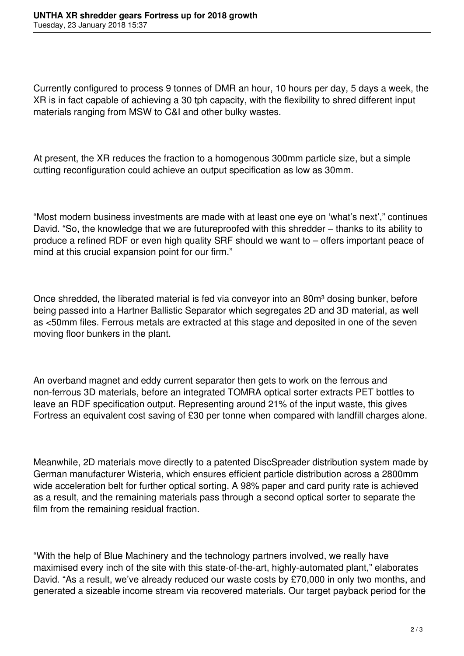Currently configured to process 9 tonnes of DMR an hour, 10 hours per day, 5 days a week, the XR is in fact capable of achieving a 30 tph capacity, with the flexibility to shred different input materials ranging from MSW to C&I and other bulky wastes.

At present, the XR reduces the fraction to a homogenous 300mm particle size, but a simple cutting reconfiguration could achieve an output specification as low as 30mm.

"Most modern business investments are made with at least one eye on 'what's next'," continues David. "So, the knowledge that we are futureproofed with this shredder – thanks to its ability to produce a refined RDF or even high quality SRF should we want to – offers important peace of mind at this crucial expansion point for our firm."

Once shredded, the liberated material is fed via conveyor into an 80m<sup>3</sup> dosing bunker, before being passed into a Hartner Ballistic Separator which segregates 2D and 3D material, as well as <50mm files. Ferrous metals are extracted at this stage and deposited in one of the seven moving floor bunkers in the plant.

An overband magnet and eddy current separator then gets to work on the ferrous and non-ferrous 3D materials, before an integrated TOMRA optical sorter extracts PET bottles to leave an RDF specification output. Representing around 21% of the input waste, this gives Fortress an equivalent cost saving of £30 per tonne when compared with landfill charges alone.

Meanwhile, 2D materials move directly to a patented DiscSpreader distribution system made by German manufacturer Wisteria, which ensures efficient particle distribution across a 2800mm wide acceleration belt for further optical sorting. A 98% paper and card purity rate is achieved as a result, and the remaining materials pass through a second optical sorter to separate the film from the remaining residual fraction.

"With the help of Blue Machinery and the technology partners involved, we really have maximised every inch of the site with this state-of-the-art, highly-automated plant," elaborates David. "As a result, we've already reduced our waste costs by £70,000 in only two months, and generated a sizeable income stream via recovered materials. Our target payback period for the